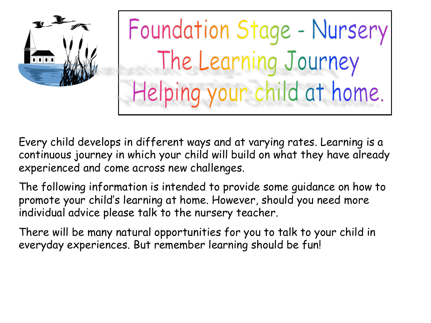

Foundation Stage - Nursery The Learning Journey Helping your child at home.

Every child develops in different ways and at varying rates. Learning is a continuous journey in which your child will build on what they have already experienced and come across new challenges.

The following information is intended to provide some guidance on how to promote your child's learning at home. However, should you need more individual advice please talk to the nursery teacher.

There will be many natural opportunities for you to talk to your child in everyday experiences. But remember learning should be fun!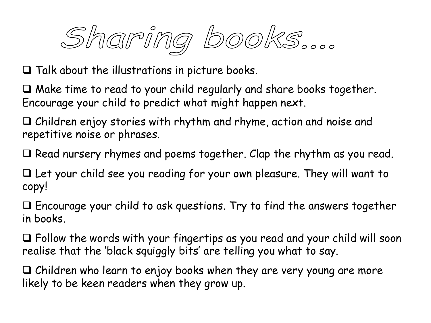Sharing books....

 $\square$  Talk about the illustrations in picture books.

 $\Box$  Make time to read to your child regularly and share books together. Encourage your child to predict what might happen next.

 $\Box$  Children enjoy stories with rhythm and rhyme, action and noise and repetitive noise or phrases.

 $\Box$  Read nursery rhymes and poems together. Clap the rhythm as you read.

 $\Box$  Let your child see you reading for your own pleasure. They will want to copy!

 $\Box$  Encourage your child to ask questions. Try to find the answers together in books.

 $\Box$  Follow the words with your fingertips as you read and your child will soon realise that the 'black squiggly bits' are telling you what to say.

 $\Box$  Children who learn to enjoy books when they are very young are more likely to be keen readers when they grow up.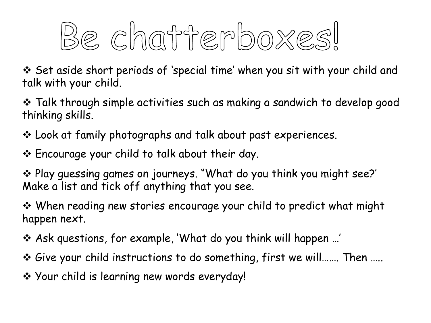

v Set aside short periods of 'special time' when you sit with your child and talk with your child.

 $\cdot$  Talk through simple activities such as making a sandwich to develop good thinking skills.

 $\cdot$  Look at family photographs and talk about past experiences.

\* Encourage your child to talk about their day.

\* Play guessing games on journeys. "What do you think you might see?' Make a list and tick off anything that you see.

◆ When reading new stories encourage your child to predict what might happen next.

v Ask questions, for example, 'What do you think will happen …'

v Give your child instructions to do something, first we will……. Then …..

◆ Your child is learning new words everyday!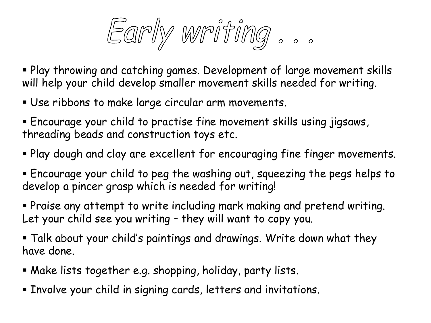Early writing...

§ Play throwing and catching games. Development of large movement skills will help your child develop smaller movement skills needed for writing.

- Use ribbons to make large circular arm movements.
- § Encourage your child to practise fine movement skills using jigsaws, threading beads and construction toys etc.
- § Play dough and clay are excellent for encouraging fine finger movements.
- § Encourage your child to peg the washing out, squeezing the pegs helps to develop a pincer grasp which is needed for writing!
- § Praise any attempt to write including mark making and pretend writing. Let your child see you writing – they will want to copy you.
- § Talk about your child's paintings and drawings. Write down what they have done.
- § Make lists together e.g. shopping, holiday, party lists.
- § Involve your child in signing cards, letters and invitations.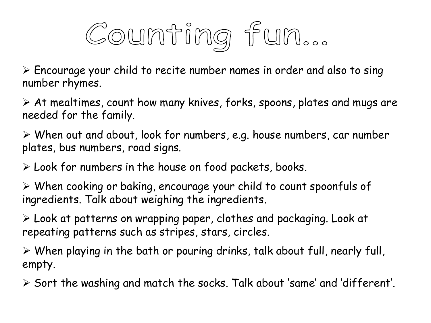

 $\triangleright$  Encourage your child to recite number names in order and also to sing number rhymes.

 $\triangleright$  At mealtimes, count how many knives, forks, spoons, plates and mugs are needed for the family.

 $\triangleright$  When out and about, look for numbers, e.g. house numbers, car number plates, bus numbers, road signs.

 $\triangleright$  Look for numbers in the house on food packets, books.

 $\triangleright$  When cooking or baking, encourage your child to count spoonfuls of ingredients. Talk about weighing the ingredients.

Ø Look at patterns on wrapping paper, clothes and packaging. Look at repeating patterns such as stripes, stars, circles.

 $\triangleright$  When playing in the bath or pouring drinks, talk about full, nearly full, empty.

 $\triangleright$  Sort the washing and match the socks. Talk about 'same' and 'different'.